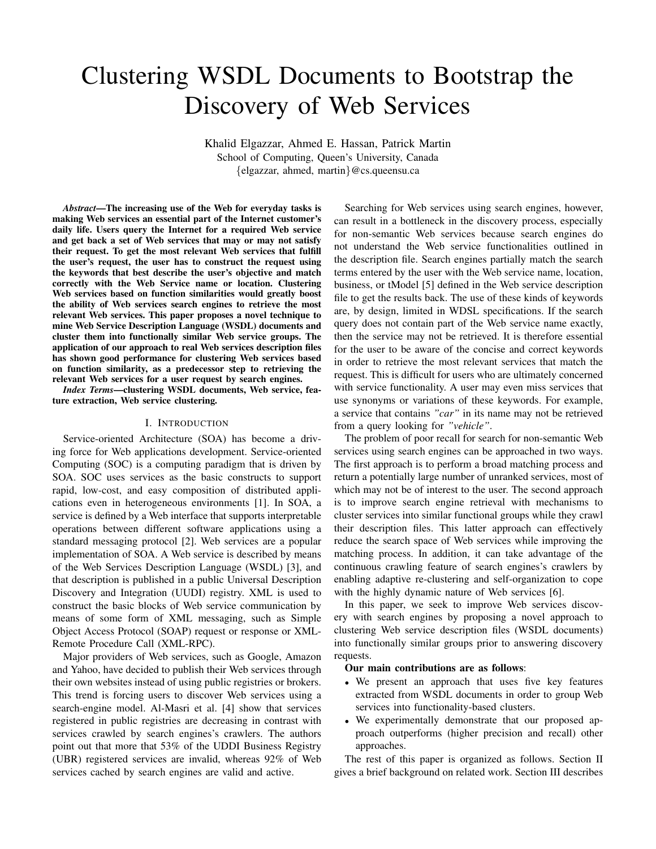# Clustering WSDL Documents to Bootstrap the Discovery of Web Services

Khalid Elgazzar, Ahmed E. Hassan, Patrick Martin School of Computing, Queen's University, Canada {elgazzar, ahmed, martin}@cs.queensu.ca

*Abstract*—The increasing use of the Web for everyday tasks is making Web services an essential part of the Internet customer's daily life. Users query the Internet for a required Web service and get back a set of Web services that may or may not satisfy their request. To get the most relevant Web services that fulfill the user's request, the user has to construct the request using the keywords that best describe the user's objective and match correctly with the Web Service name or location. Clustering Web services based on function similarities would greatly boost the ability of Web services search engines to retrieve the most relevant Web services. This paper proposes a novel technique to mine Web Service Description Language (WSDL) documents and cluster them into functionally similar Web service groups. The application of our approach to real Web services description files has shown good performance for clustering Web services based on function similarity, as a predecessor step to retrieving the relevant Web services for a user request by search engines.

*Index Terms*—clustering WSDL documents, Web service, feature extraction, Web service clustering.

# I. INTRODUCTION

Service-oriented Architecture (SOA) has become a driving force for Web applications development. Service-oriented Computing (SOC) is a computing paradigm that is driven by SOA. SOC uses services as the basic constructs to support rapid, low-cost, and easy composition of distributed applications even in heterogeneous environments [1]. In SOA, a service is defined by a Web interface that supports interpretable operations between different software applications using a standard messaging protocol [2]. Web services are a popular implementation of SOA. A Web service is described by means of the Web Services Description Language (WSDL) [3], and that description is published in a public Universal Description Discovery and Integration (UUDI) registry. XML is used to construct the basic blocks of Web service communication by means of some form of XML messaging, such as Simple Object Access Protocol (SOAP) request or response or XML-Remote Procedure Call (XML-RPC).

Major providers of Web services, such as Google, Amazon and Yahoo, have decided to publish their Web services through their own websites instead of using public registries or brokers. This trend is forcing users to discover Web services using a search-engine model. Al-Masri et al. [4] show that services registered in public registries are decreasing in contrast with services crawled by search engines's crawlers. The authors point out that more that 53% of the UDDI Business Registry (UBR) registered services are invalid, whereas 92% of Web services cached by search engines are valid and active.

Searching for Web services using search engines, however, can result in a bottleneck in the discovery process, especially for non-semantic Web services because search engines do not understand the Web service functionalities outlined in the description file. Search engines partially match the search terms entered by the user with the Web service name, location, business, or tModel [5] defined in the Web service description file to get the results back. The use of these kinds of keywords are, by design, limited in WDSL specifications. If the search query does not contain part of the Web service name exactly, then the service may not be retrieved. It is therefore essential for the user to be aware of the concise and correct keywords in order to retrieve the most relevant services that match the request. This is difficult for users who are ultimately concerned with service functionality. A user may even miss services that use synonyms or variations of these keywords. For example, a service that contains *"car"* in its name may not be retrieved from a query looking for *"vehicle"*.

The problem of poor recall for search for non-semantic Web services using search engines can be approached in two ways. The first approach is to perform a broad matching process and return a potentially large number of unranked services, most of which may not be of interest to the user. The second approach is to improve search engine retrieval with mechanisms to cluster services into similar functional groups while they crawl their description files. This latter approach can effectively reduce the search space of Web services while improving the matching process. In addition, it can take advantage of the continuous crawling feature of search engines's crawlers by enabling adaptive re-clustering and self-organization to cope with the highly dynamic nature of Web services [6].

In this paper, we seek to improve Web services discovery with search engines by proposing a novel approach to clustering Web service description files (WSDL documents) into functionally similar groups prior to answering discovery requests.

#### Our main contributions are as follows:

- We present an approach that uses five key features extracted from WSDL documents in order to group Web services into functionality-based clusters.
- We experimentally demonstrate that our proposed approach outperforms (higher precision and recall) other approaches.

The rest of this paper is organized as follows. Section II gives a brief background on related work. Section III describes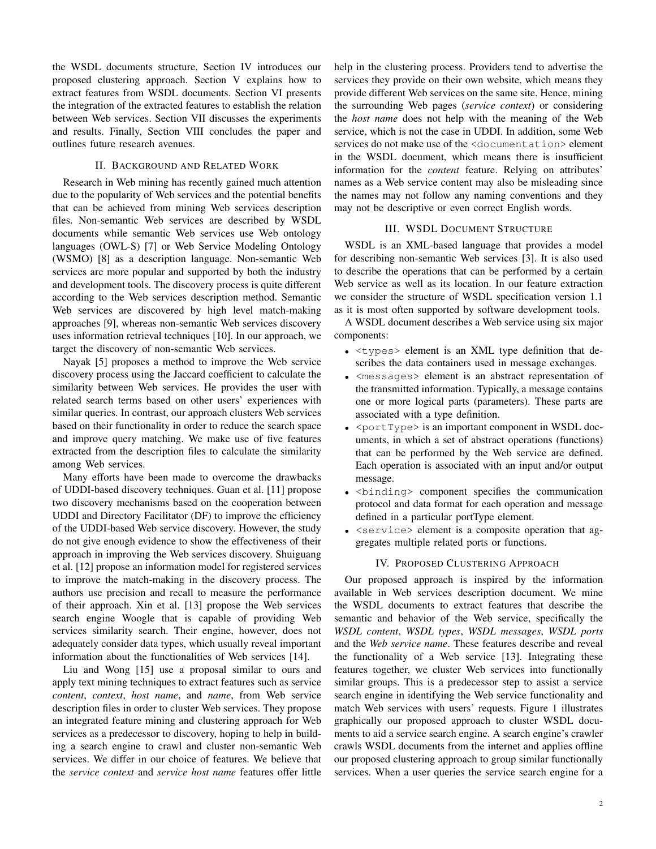the WSDL documents structure. Section IV introduces our proposed clustering approach. Section V explains how to extract features from WSDL documents. Section VI presents the integration of the extracted features to establish the relation between Web services. Section VII discusses the experiments and results. Finally, Section VIII concludes the paper and outlines future research avenues.

# II. BACKGROUND AND RELATED WORK

Research in Web mining has recently gained much attention due to the popularity of Web services and the potential benefits that can be achieved from mining Web services description files. Non-semantic Web services are described by WSDL documents while semantic Web services use Web ontology languages (OWL-S) [7] or Web Service Modeling Ontology (WSMO) [8] as a description language. Non-semantic Web services are more popular and supported by both the industry and development tools. The discovery process is quite different according to the Web services description method. Semantic Web services are discovered by high level match-making approaches [9], whereas non-semantic Web services discovery uses information retrieval techniques [10]. In our approach, we target the discovery of non-semantic Web services.

Nayak [5] proposes a method to improve the Web service discovery process using the Jaccard coefficient to calculate the similarity between Web services. He provides the user with related search terms based on other users' experiences with similar queries. In contrast, our approach clusters Web services based on their functionality in order to reduce the search space and improve query matching. We make use of five features extracted from the description files to calculate the similarity among Web services.

Many efforts have been made to overcome the drawbacks of UDDI-based discovery techniques. Guan et al. [11] propose two discovery mechanisms based on the cooperation between UDDI and Directory Facilitator (DF) to improve the efficiency of the UDDI-based Web service discovery. However, the study do not give enough evidence to show the effectiveness of their approach in improving the Web services discovery. Shuiguang et al. [12] propose an information model for registered services to improve the match-making in the discovery process. The authors use precision and recall to measure the performance of their approach. Xin et al. [13] propose the Web services search engine Woogle that is capable of providing Web services similarity search. Their engine, however, does not adequately consider data types, which usually reveal important information about the functionalities of Web services [14].

Liu and Wong [15] use a proposal similar to ours and apply text mining techniques to extract features such as service *content*, *context*, *host name*, and *name*, from Web service description files in order to cluster Web services. They propose an integrated feature mining and clustering approach for Web services as a predecessor to discovery, hoping to help in building a search engine to crawl and cluster non-semantic Web services. We differ in our choice of features. We believe that the *service context* and *service host name* features offer little help in the clustering process. Providers tend to advertise the services they provide on their own website, which means they provide different Web services on the same site. Hence, mining the surrounding Web pages (*service context*) or considering the *host name* does not help with the meaning of the Web service, which is not the case in UDDI. In addition, some Web services do not make use of the <documentation> element in the WSDL document, which means there is insufficient information for the *content* feature. Relying on attributes' names as a Web service content may also be misleading since the names may not follow any naming conventions and they may not be descriptive or even correct English words.

#### III. WSDL DOCUMENT STRUCTURE

WSDL is an XML-based language that provides a model for describing non-semantic Web services [3]. It is also used to describe the operations that can be performed by a certain Web service as well as its location. In our feature extraction we consider the structure of WSDL specification version 1.1 as it is most often supported by software development tools.

A WSDL document describes a Web service using six major components:

- $\bullet$   $\lt$ types lement is an XML type definition that describes the data containers used in message exchanges.
- <messages> element is an abstract representation of the transmitted information. Typically, a message contains one or more logical parts (parameters). These parts are associated with a type definition.
- <portType> is an important component in WSDL documents, in which a set of abstract operations (functions) that can be performed by the Web service are defined. Each operation is associated with an input and/or output message.
- <binding> component specifies the communication protocol and data format for each operation and message defined in a particular portType element.
- <service> element is a composite operation that aggregates multiple related ports or functions.

## IV. PROPOSED CLUSTERING APPROACH

Our proposed approach is inspired by the information available in Web services description document. We mine the WSDL documents to extract features that describe the semantic and behavior of the Web service, specifically the *WSDL content*, *WSDL types*, *WSDL messages*, *WSDL ports* and the *Web service name*. These features describe and reveal the functionality of a Web service [13]. Integrating these features together, we cluster Web services into functionally similar groups. This is a predecessor step to assist a service search engine in identifying the Web service functionality and match Web services with users' requests. Figure 1 illustrates graphically our proposed approach to cluster WSDL documents to aid a service search engine. A search engine's crawler crawls WSDL documents from the internet and applies offline our proposed clustering approach to group similar functionally services. When a user queries the service search engine for a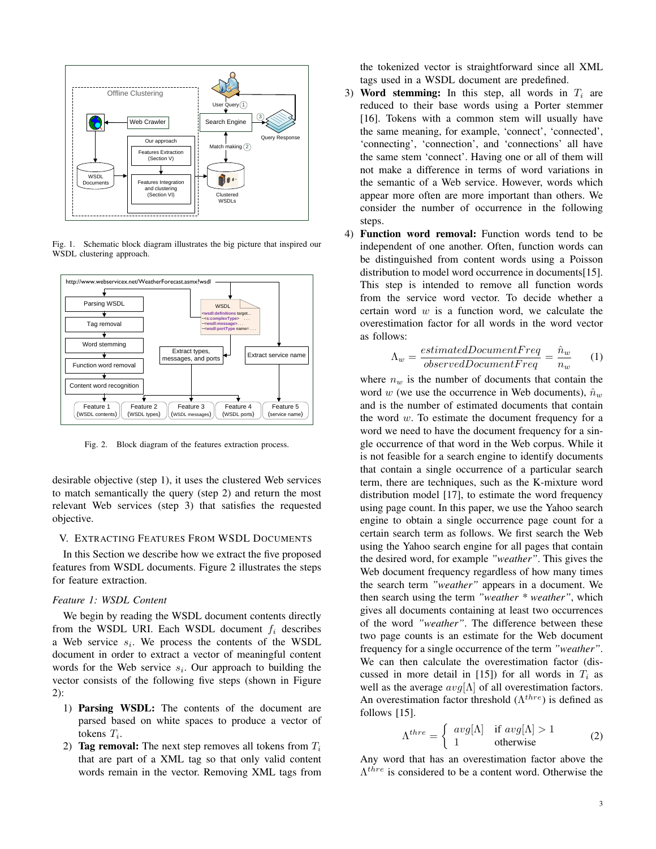

Fig. 1. Schematic block diagram illustrates the big picture that inspired our WSDL clustering approach.



Fig. 2. Block diagram of the features extraction process.

desirable objective (step 1), it uses the clustered Web services to match semantically the query (step 2) and return the most relevant Web services (step 3) that satisfies the requested objective.

## V. EXTRACTING FEATURES FROM WSDL DOCUMENTS

In this Section we describe how we extract the five proposed features from WSDL documents. Figure 2 illustrates the steps for feature extraction.

# *Feature 1: WSDL Content*

We begin by reading the WSDL document contents directly from the WSDL URI. Each WSDL document  $f_i$  describes a Web service  $s_i$ . We process the contents of the WSDL document in order to extract a vector of meaningful content words for the Web service  $s_i$ . Our approach to building the vector consists of the following five steps (shown in Figure 2):

- 1) Parsing WSDL: The contents of the document are parsed based on white spaces to produce a vector of tokens  $T_i$ .
- 2) **Tag removal:** The next step removes all tokens from  $T_i$ that are part of a XML tag so that only valid content words remain in the vector. Removing XML tags from

the tokenized vector is straightforward since all XML tags used in a WSDL document are predefined.

- 3) Word stemming: In this step, all words in  $T_i$  are reduced to their base words using a Porter stemmer [16]. Tokens with a common stem will usually have the same meaning, for example, 'connect', 'connected', 'connecting', 'connection', and 'connections' all have the same stem 'connect'. Having one or all of them will not make a difference in terms of word variations in the semantic of a Web service. However, words which appear more often are more important than others. We consider the number of occurrence in the following steps.
- 4) Function word removal: Function words tend to be independent of one another. Often, function words can be distinguished from content words using a Poisson distribution to model word occurrence in documents[15]. This step is intended to remove all function words from the service word vector. To decide whether a certain word  $w$  is a function word, we calculate the overestimation factor for all words in the word vector as follows:

$$
\Lambda_w = \frac{estimatedDocumentFreq}{observedDocumentFreq} = \frac{\hat{n}_w}{n_w} \qquad (1)
$$

where  $n_w$  is the number of documents that contain the word w (we use the occurrence in Web documents),  $\hat{n}_w$ and is the number of estimated documents that contain the word  $w$ . To estimate the document frequency for a word we need to have the document frequency for a single occurrence of that word in the Web corpus. While it is not feasible for a search engine to identify documents that contain a single occurrence of a particular search term, there are techniques, such as the K-mixture word distribution model [17], to estimate the word frequency using page count. In this paper, we use the Yahoo search engine to obtain a single occurrence page count for a certain search term as follows. We first search the Web using the Yahoo search engine for all pages that contain the desired word, for example *"weather"*. This gives the Web document frequency regardless of how many times the search term *"weather"* appears in a document. We then search using the term *"weather \* weather"*, which gives all documents containing at least two occurrences of the word *"weather"*. The difference between these two page counts is an estimate for the Web document frequency for a single occurrence of the term *"weather"*. We can then calculate the overestimation factor (discussed in more detail in [15]) for all words in  $T_i$  as well as the average  $avg[\Lambda]$  of all overestimation factors. An overestimation factor threshold  $(\Lambda^{thre})$  is defined as follows [15].

$$
\Lambda^{thre} = \begin{cases} avg[\Lambda] & \text{if } avg[\Lambda] > 1 \\ 1 & \text{otherwise} \end{cases}
$$
 (2)

Any word that has an overestimation factor above the  $\Lambda^{thre}$  is considered to be a content word. Otherwise the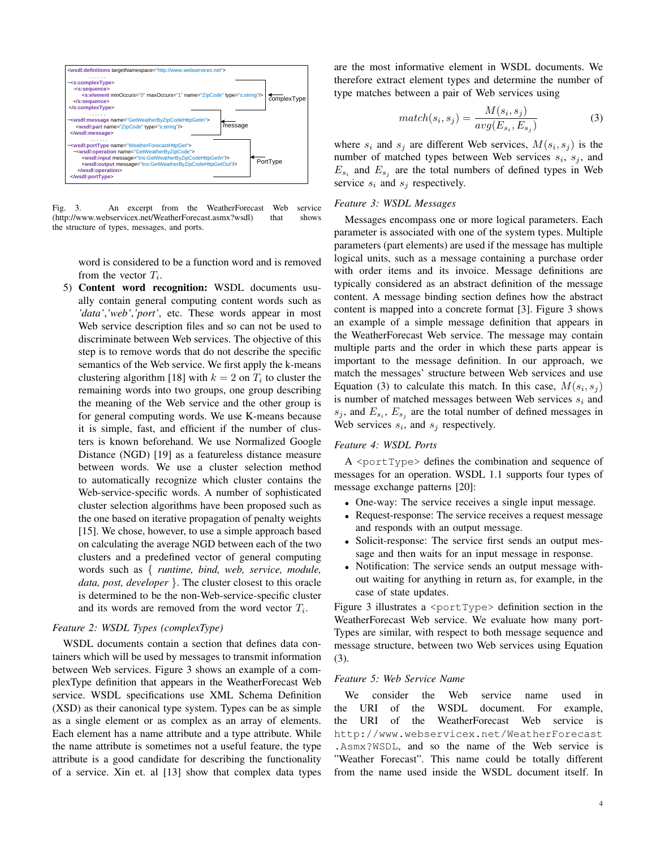

Fig. 3. An excerpt from the WeatherForecast Web service (http://www.webservicex.net/WeatherForecast.asmx?wsdl) that shows the structure of types, messages, and ports.

word is considered to be a function word and is removed from the vector  $T_i$ .

5) Content word recognition: WSDL documents usually contain general computing content words such as *'data'*,*'web'*,*'port'*, etc. These words appear in most Web service description files and so can not be used to discriminate between Web services. The objective of this step is to remove words that do not describe the specific semantics of the Web service. We first apply the k-means clustering algorithm [18] with  $k = 2$  on  $T_i$  to cluster the remaining words into two groups, one group describing the meaning of the Web service and the other group is for general computing words. We use K-means because it is simple, fast, and efficient if the number of clusters is known beforehand. We use Normalized Google Distance (NGD) [19] as a featureless distance measure between words. We use a cluster selection method to automatically recognize which cluster contains the Web-service-specific words. A number of sophisticated cluster selection algorithms have been proposed such as the one based on iterative propagation of penalty weights [15]. We chose, however, to use a simple approach based on calculating the average NGD between each of the two clusters and a predefined vector of general computing words such as { *runtime, bind, web, service, module, data, post, developer* }. The cluster closest to this oracle is determined to be the non-Web-service-specific cluster and its words are removed from the word vector  $T_i$ .

## *Feature 2: WSDL Types (complexType)*

WSDL documents contain a section that defines data containers which will be used by messages to transmit information between Web services. Figure 3 shows an example of a complexType definition that appears in the WeatherForecast Web service. WSDL specifications use XML Schema Definition (XSD) as their canonical type system. Types can be as simple as a single element or as complex as an array of elements. Each element has a name attribute and a type attribute. While the name attribute is sometimes not a useful feature, the type attribute is a good candidate for describing the functionality of a service. Xin et. al [13] show that complex data types

are the most informative element in WSDL documents. We therefore extract element types and determine the number of type matches between a pair of Web services using

$$
match(s_i, s_j) = \frac{M(s_i, s_j)}{avg(E_{s_i}, E_{s_j})}
$$
\n(3)

where  $s_i$  and  $s_j$  are different Web services,  $M(s_i, s_j)$  is the number of matched types between Web services  $s_i$ ,  $s_j$ , and  $E_{s_i}$  and  $E_{s_j}$  are the total numbers of defined types in Web service  $s_i$  and  $s_j$  respectively.

#### *Feature 3: WSDL Messages*

Messages encompass one or more logical parameters. Each parameter is associated with one of the system types. Multiple parameters (part elements) are used if the message has multiple logical units, such as a message containing a purchase order with order items and its invoice. Message definitions are typically considered as an abstract definition of the message content. A message binding section defines how the abstract content is mapped into a concrete format [3]. Figure 3 shows an example of a simple message definition that appears in the WeatherForecast Web service. The message may contain multiple parts and the order in which these parts appear is important to the message definition. In our approach, we match the messages' structure between Web services and use Equation (3) to calculate this match. In this case,  $M(s_i, s_j)$ is number of matched messages between Web services  $s_i$  and  $s_j$ , and  $E_{s_i}$ ,  $E_{s_j}$  are the total number of defined messages in Web services  $s_i$ , and  $s_j$  respectively.

# *Feature 4: WSDL Ports*

A <portType> defines the combination and sequence of messages for an operation. WSDL 1.1 supports four types of message exchange patterns [20]:

- One-way: The service receives a single input message.
- Request-response: The service receives a request message and responds with an output message.
- Solicit-response: The service first sends an output message and then waits for an input message in response.
- Notification: The service sends an output message without waiting for anything in return as, for example, in the case of state updates.

Figure 3 illustrates a  $\langle$  portType> definition section in the WeatherForecast Web service. We evaluate how many port-Types are similar, with respect to both message sequence and message structure, between two Web services using Equation (3).

# *Feature 5: Web Service Name*

We consider the Web service name used in the URI of the WSDL document. For example, the URI of the WeatherForecast Web service http://www.webservicex.net/WeatherForecast .Asmx?WSDL, and so the name of the Web service is "Weather Forecast". This name could be totally different from the name used inside the WSDL document itself. In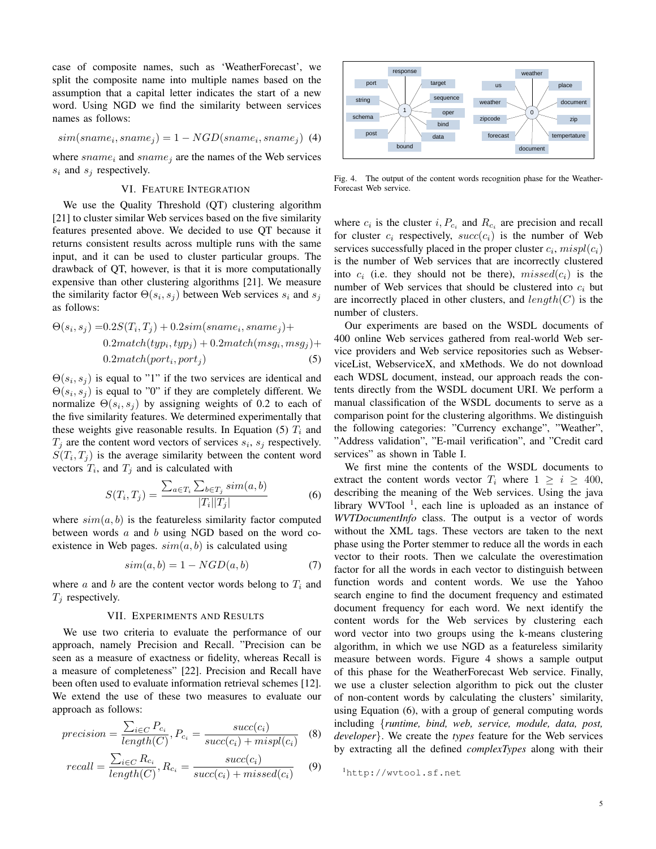case of composite names, such as 'WeatherForecast', we split the composite name into multiple names based on the assumption that a capital letter indicates the start of a new word. Using NGD we find the similarity between services names as follows:

$$
sim(sname_i, same_j) = 1 - NGD(sname_i, same_j)
$$
 (4)

where  $\textit{sname}_i$  and  $\textit{sname}_j$  are the names of the Web services  $s_i$  and  $s_j$  respectively.

# VI. FEATURE INTEGRATION

We use the Quality Threshold (QT) clustering algorithm [21] to cluster similar Web services based on the five similarity features presented above. We decided to use QT because it returns consistent results across multiple runs with the same input, and it can be used to cluster particular groups. The drawback of QT, however, is that it is more computationally expensive than other clustering algorithms [21]. We measure the similarity factor  $\Theta(s_i, s_j)$  between Web services  $s_i$  and  $s_j$ as follows:

$$
\Theta(s_i, s_j) = 0.2S(T_i, T_j) + 0.2sim(sname_i, same_j) +
$$
  
0.2match(typ<sub>i</sub>, typ<sub>j</sub>) + 0.2match(msg<sub>i</sub>, msg<sub>j</sub>) +  
0.2match(port<sub>i</sub>, port<sub>j</sub>) (5)

 $\Theta(s_i, s_j)$  is equal to "1" if the two services are identical and  $\Theta(s_i, s_j)$  is equal to "0" if they are completely different. We normalize  $\Theta(s_i, s_j)$  by assigning weights of 0.2 to each of the five similarity features. We determined experimentally that these weights give reasonable results. In Equation (5)  $T_i$  and  $T_j$  are the content word vectors of services  $s_i$ ,  $s_j$  respectively.  $S(T_i, T_j)$  is the average similarity between the content word vectors  $T_i$ , and  $T_j$  and is calculated with

$$
S(T_i, T_j) = \frac{\sum_{a \in T_i} \sum_{b \in T_j} sim(a, b)}{|T_i||T_j|}
$$
(6)

where  $sim(a, b)$  is the featureless similarity factor computed between words  $a$  and  $b$  using NGD based on the word coexistence in Web pages.  $sim(a, b)$  is calculated using

$$
sim(a, b) = 1 - NGD(a, b)
$$
\n(7)

where  $a$  and  $b$  are the content vector words belong to  $T_i$  and  $T_i$  respectively.

#### VII. EXPERIMENTS AND RESULTS

We use two criteria to evaluate the performance of our approach, namely Precision and Recall. "Precision can be seen as a measure of exactness or fidelity, whereas Recall is a measure of completeness" [22]. Precision and Recall have been often used to evaluate information retrieval schemes [12]. We extend the use of these two measures to evaluate our approach as follows:

$$
precision = \frac{\sum_{i \in C} P_{c_i}}{length(C)}, P_{c_i} = \frac{succ(c_i)}{succ(c_i) + mispl(c_i)} \quad (8)
$$

$$
recall = \frac{\sum_{i \in C} R_{c_i}}{length(C)}, R_{c_i} = \frac{succ(c_i)}{succ(c_i) + missed(c_i)} \tag{9}
$$



Fig. 4. The output of the content words recognition phase for the Weather-Forecast Web service.

where  $c_i$  is the cluster  $i, P_{c_i}$  and  $R_{c_i}$  are precision and recall for cluster  $c_i$  respectively,  $succ(c_i)$  is the number of Web services successfully placed in the proper cluster  $c_i$ ,  $mispl(c_i)$ is the number of Web services that are incorrectly clustered into  $c_i$  (i.e. they should not be there),  $missed(c_i)$  is the number of Web services that should be clustered into  $c_i$  but are incorrectly placed in other clusters, and  $length(C)$  is the number of clusters.

Our experiments are based on the WSDL documents of 400 online Web services gathered from real-world Web service providers and Web service repositories such as WebserviceList, WebserviceX, and xMethods. We do not download each WDSL document, instead, our approach reads the contents directly from the WSDL document URI. We perform a manual classification of the WSDL documents to serve as a comparison point for the clustering algorithms. We distinguish the following categories: "Currency exchange", "Weather", "Address validation", "E-mail verification", and "Credit card services" as shown in Table I.

We first mine the contents of the WSDL documents to extract the content words vector  $T_i$  where  $1 \geq i \geq 400$ , describing the meaning of the Web services. Using the java library WVTool<sup>1</sup>, each line is uploaded as an instance of *WVTDocumentInfo* class. The output is a vector of words without the XML tags. These vectors are taken to the next phase using the Porter stemmer to reduce all the words in each vector to their roots. Then we calculate the overestimation factor for all the words in each vector to distinguish between function words and content words. We use the Yahoo search engine to find the document frequency and estimated document frequency for each word. We next identify the content words for the Web services by clustering each word vector into two groups using the k-means clustering algorithm, in which we use NGD as a featureless similarity measure between words. Figure 4 shows a sample output of this phase for the WeatherForecast Web service. Finally, we use a cluster selection algorithm to pick out the cluster of non-content words by calculating the clusters' similarity, using Equation (6), with a group of general computing words including {*runtime, bind, web, service, module, data, post, developer*}. We create the *types* feature for the Web services by extracting all the defined *complexTypes* along with their

<sup>1</sup>http://wvtool.sf.net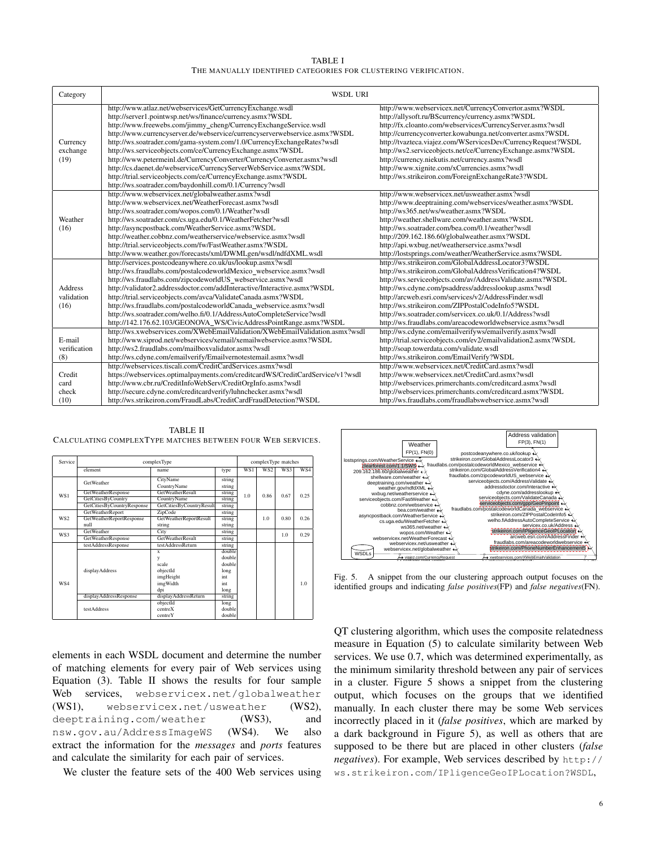TABLE I THE MANUALLY IDENTIFIED CATEGORIES FOR CLUSTERING VERIFICATION.

| Category                             | <b>WSDL URI</b>                                                                                                                                                                                                                                                                                                                                                                                                                                                                                                                                                                                                                                                                              |                                                                                                                                                                                                                                                                                                                                                                                                                                                                                                                                |  |
|--------------------------------------|----------------------------------------------------------------------------------------------------------------------------------------------------------------------------------------------------------------------------------------------------------------------------------------------------------------------------------------------------------------------------------------------------------------------------------------------------------------------------------------------------------------------------------------------------------------------------------------------------------------------------------------------------------------------------------------------|--------------------------------------------------------------------------------------------------------------------------------------------------------------------------------------------------------------------------------------------------------------------------------------------------------------------------------------------------------------------------------------------------------------------------------------------------------------------------------------------------------------------------------|--|
| Currency<br>exchange<br>(19)         | http://www.atlaz.net/webservices/GetCurrencyExchange.wsdl<br>http://server1.pointwsp.net/ws/finance/currency.asmx?WSDL<br>http://www.freewebs.com/jimmy_cheng/CurrencyExchangeService.wsdl<br>http://www.currencyserver.de/webservice/currencyserverwebservice.asmx?WSDL<br>http://ws.soatrader.com/gama-system.com/1.0/CurrencyExchangeRates?wsdl<br>http://ws.serviceobjects.com/ce/CurrencyExchange.asmx?WSDL<br>http://www.petermeinl.de/CurrencyConverter/CurrencyConverter.asmx?wsdl<br>http://cs.daenet.de/webservice/CurrencyServerWebService.asmx?WSDL<br>http://trial.serviceobjects.com/ce/CurrencyExchange.asmx?WSDL<br>http://ws.soatrader.com/baydonhill.com/0.1/Currency?wsdl | http://www.webservicex.net/CurrencyConvertor.asmx?WSDL<br>http://allysoft.ru/BScurrency/currency.asmx?WSDL<br>http://fx.cloanto.com/webservices/CurrencyServer.asmx?wsdl<br>http://currencyconverter.kowabunga.net/converter.asmx?WSDL<br>http://tvazteca.viajez.com/WServicesDev/CurrencyRequest?WSDL<br>http://ws2.serviceobjects.net/ce/CurrencyExchange.asmx?WSDL<br>http://currency.niekutis.net/currency.asmx?wsdl<br>http://www.xignite.com/xCurrencies.asmx?wsdl<br>http://ws.strikeiron.com/ForeignExchangeRate3?WSDL |  |
| Weather<br>(16)                      | http://www.webservicex.net/globalweather.asmx?wsdl<br>http://www.webservicex.net/WeatherForecast.asmx?wsdl<br>http://ws.soatrader.com/wopos.com/0.1/Weather?wsdl<br>http://ws.soatrader.com/cs.uga.edu/0.1/WeatherFetcher?wsdl<br>http://asyncpostback.com/WeatherService.asmx?WSDL<br>http://weather.cobbnz.com/weatherservice/webservice.asmx?wsdl<br>http://trial.serviceobjects.com/fw/FastWeather.asmx?WSDL<br>http://www.weather.gov/forecasts/xml/DWMLgen/wsdl/ndfdXML.wsdl                                                                                                                                                                                                           | http://www.webservicex.net/usweather.asmx?wsdl<br>http://www.deeptraining.com/webservices/weather.asmx?WSDL<br>http://ws365.net/ws/weather.asmx?WSDL<br>http://weather.shellware.com/weather.asmx?WSDL<br>http://ws.soatrader.com/bea.com/0.1/weather?wsdl<br>http://209.162.186.60/globalweather.asmx?WSDL<br>http://api.wxbug.net/weatherservice.asmx?wsdl<br>http://lostsprings.com/weather/WeatherService.asmx?WSDL                                                                                                        |  |
| <b>Address</b><br>validation<br>(16) | http://services.postcodeanywhere.co.uk/us/lookup.asmx?wsdl<br>http://ws.fraudlabs.com/postalcodeworldMexico_webservice.asmx?wsdl<br>http://ws.fraudlabs.com/zipcodeworldUS_webservice.asmx?wsdl<br>http://validator2.addressdoctor.com/addInteractive/Interactive.asmx?WSDL<br>http://trial.serviceobjects.com/avca/ValidateCanada.asmx?WSDL<br>http://ws.fraudlabs.com/postalcodeworldCanada_webservice.asmx?wsdl<br>http://ws.soatrader.com/welho.fi/0.1/AddressAutoCompleteService?wsdl<br>http://142.176.62.103/GEONOVA_WS/CivicAddressPointRange.asmx?WSDL                                                                                                                              | http://ws.strikeiron.com/GlobalAddressLocator3?WSDL<br>http://ws.strikeiron.com/GlobalAddressVerification4?WSDL<br>http://ws.serviceobjects.com/av/AddressValidate.asmx?WSDL<br>http://ws.cdyne.com/psaddress/addresslookup.asmx?wsdl<br>http://arcweb.esri.com/services/v2/AddressFinder.wsdl<br>http://ws.strikeiron.com/ZIPPostalCodeInfo5?WSDL<br>http://ws.soatrader.com/servicex.co.uk/0.1/Address?wsdl<br>http://ws.fraudlabs.com/areacodeworldwebservice.asmx?wsdl                                                     |  |
| E-mail<br>verification<br>(8)        | http://ws.xwebservices.com/XWebEmailValidation/XWebEmailValidation.asmx?wsdl<br>http://www.siprod.net/webservices/xemail/xemailwebservice.asmx?WSDL<br>http://ws2.fraudlabs.com/mailboxvalidator.asmx?wsdl<br>http://ws.cdyne.com/emailverify/Emailvernotestemail.asmx?wsdl                                                                                                                                                                                                                                                                                                                                                                                                                  | http://ws.cdyne.com/emailverifyws/emailverify.asmx?wsdl<br>http://trial.serviceobjects.com/ev2/emailvalidation2.asmx?WSDL<br>http://soap.towerdata.com/validate.wsdl<br>http://ws.strikeiron.com/EmailVerify?WSDL                                                                                                                                                                                                                                                                                                              |  |
| Credit<br>card<br>check<br>(10)      | http://webservices.tiscali.com/CreditCardServices.asmx?wsdl<br>https://webservices.optimalpayments.com/creditcardWS/CreditCardService/v1?wsdl<br>http://www.cbr.ru/CreditInfoWebServ/CreditOrgInfo.asmx?wsdl<br>http://secure.cdyne.com/creditcardverify/luhnchecker.asmx?wsdl<br>http://ws.strikeiron.com/FraudLabs/CreditCardFraudDetection?WSDL                                                                                                                                                                                                                                                                                                                                           | http://www.webservicex.net/CreditCard.asmx?wsdl<br>http://www.webservicex.net/CreditCard.asmx?wsdl<br>http://webservices.primerchants.com/creditcard.asmx?wsdl<br>http://webservices.primerchants.com/creditcard.asmx?WSDL<br>http://ws.fraudlabs.com/fraudlabswebservice.asmx?wsdl                                                                                                                                                                                                                                            |  |

| Service | complexType                |                               |        | complexType matches |      |      |      |
|---------|----------------------------|-------------------------------|--------|---------------------|------|------|------|
|         | element                    | name.                         | type   | WS1                 | WS2  | WS3  | WS4  |
|         | <b>GetWeather</b>          | CityName                      | string |                     |      |      |      |
|         |                            | CountryName                   | string |                     | 0.86 | 0.67 | 0.25 |
| WS1     | GetWeatherResponse         | <b>GetWeatherResult</b>       | string | 1.0                 |      |      |      |
|         | GetCitiesByCountry         | CountryName                   | string |                     |      |      |      |
|         | GetCitiesByCountryResponse | GetCitiesByCountryResult      | string |                     |      |      |      |
|         | <b>GetWeatherReport</b>    | ZipCode                       | string | 1.0                 |      | 0.80 | 0.26 |
| WS2     | GetWeatherReportResponse   | <b>GetWeatherReportResult</b> | string |                     |      |      |      |
|         | null                       | string                        | string |                     |      |      |      |
| WS3     | <b>GetWeather</b>          | City                          | string |                     |      | 1.0  | 0.29 |
|         | <b>GetWeatherResponse</b>  | <b>GetWeatherResult</b>       | string |                     |      |      |      |
|         | testAddressResponse        | testAddressReturn             | string |                     |      |      |      |
|         |                            | $\mathbf{x}$                  | double |                     |      |      |      |
|         |                            | y                             | double |                     |      |      |      |
|         |                            | scale                         | double |                     |      |      |      |
|         | displayAddress             | objectId                      | long   |                     |      |      |      |
|         |                            | imgHeight                     | int    |                     |      |      |      |
| WS4     |                            | imgWidth                      | int    |                     |      |      | 1.0  |
|         |                            | dpi                           | long   |                     |      |      |      |
|         | displayAddressResponse     | displayAddressReturn          | string |                     |      |      |      |
|         |                            | objectId                      | long   |                     |      |      |      |
|         | <b>testAddress</b>         | centreX                       | double |                     |      |      |      |
|         |                            | centre Y                      | double |                     |      |      |      |

TABLE II CALCULATING COMPLEXTYPE MATCHES BETWEEN FOUR WEB SERVICES.

elements in each WSDL document and determine the number of matching elements for every pair of Web services using Equation (3). Table II shows the results for four sample Web services, webservicex.net/globalweather (WS1), webservicex.net/usweather (WS2), deeptraining.com/weather (WS3), and nsw.gov.au/AddressImageWS (WS4). We also extract the information for the *messages* and *ports* features and calculate the similarity for each pair of services.

We cluster the feature sets of the 400 Web services using



Fig. 5. A snippet from the our clustering approach output focuses on the identified groups and indicating *false positives*(FP) and *false negatives*(FN).

QT clustering algorithm, which uses the composite relatedness measure in Equation (5) to calculate similarity between Web services. We use 0.7, which was determined experimentally, as the minimum similarity threshold between any pair of services in a cluster. Figure 5 shows a snippet from the clustering output, which focuses on the groups that we identified manually. In each cluster there may be some Web services incorrectly placed in it (*false positives*, which are marked by a dark background in Figure 5), as well as others that are supposed to be there but are placed in other clusters (*false negatives*). For example, Web services described by http:// ws.strikeiron.com/IPligenceGeoIPLocation?WSDL,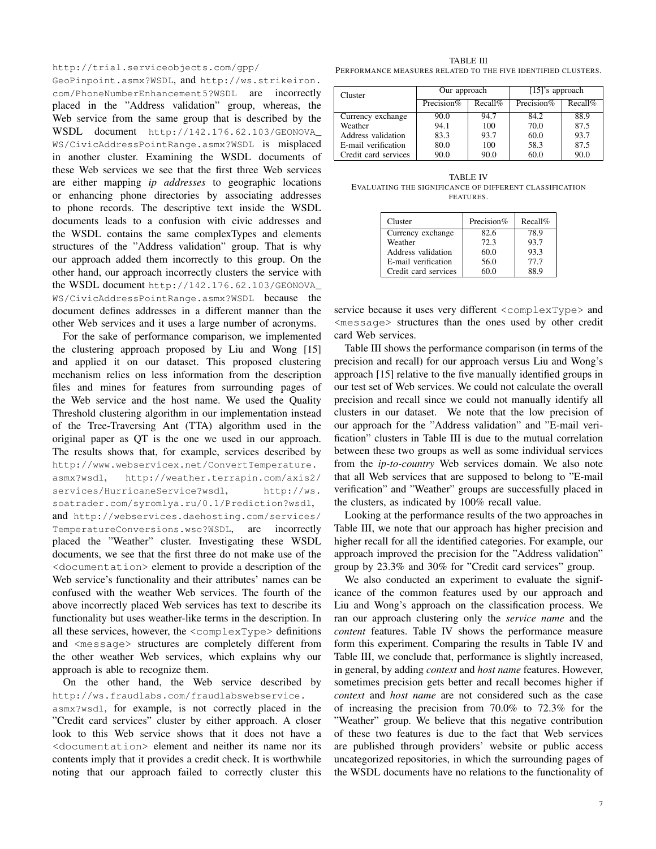http://trial.serviceobjects.com/gpp/

GeoPinpoint.asmx?WSDL, and http://ws.strikeiron. com/PhoneNumberEnhancement5?WSDL are incorrectly placed in the "Address validation" group, whereas, the Web service from the same group that is described by the WSDL document http://142.176.62.103/GEONOVA\_ WS/CivicAddressPointRange.asmx?WSDL is misplaced in another cluster. Examining the WSDL documents of these Web services we see that the first three Web services are either mapping *ip addresses* to geographic locations or enhancing phone directories by associating addresses to phone records. The descriptive text inside the WSDL documents leads to a confusion with civic addresses and the WSDL contains the same complexTypes and elements structures of the "Address validation" group. That is why our approach added them incorrectly to this group. On the other hand, our approach incorrectly clusters the service with the WSDL document http://142.176.62.103/GEONOVA\_ WS/CivicAddressPointRange.asmx?WSDL because the document defines addresses in a different manner than the other Web services and it uses a large number of acronyms.

For the sake of performance comparison, we implemented the clustering approach proposed by Liu and Wong [15] and applied it on our dataset. This proposed clustering mechanism relies on less information from the description files and mines for features from surrounding pages of the Web service and the host name. We used the Quality Threshold clustering algorithm in our implementation instead of the Tree-Traversing Ant (TTA) algorithm used in the original paper as QT is the one we used in our approach. The results shows that, for example, services described by http://www.webservicex.net/ConvertTemperature. asmx?wsdl, http://weather.terrapin.com/axis2/ services/HurricaneService?wsdl, http://ws. soatrader.com/syromlya.ru/0.1/Prediction?wsdl, and http://webservices.daehosting.com/services/ TemperatureConversions.wso?WSDL, are incorrectly placed the "Weather" cluster. Investigating these WSDL documents, we see that the first three do not make use of the <documentation> element to provide a description of the Web service's functionality and their attributes' names can be confused with the weather Web services. The fourth of the above incorrectly placed Web services has text to describe its functionality but uses weather-like terms in the description. In all these services, however, the <complexType> definitions and <message> structures are completely different from the other weather Web services, which explains why our approach is able to recognize them.

On the other hand, the Web service described by http://ws.fraudlabs.com/fraudlabswebservice.

asmx?wsdl, for example, is not correctly placed in the "Credit card services" cluster by either approach. A closer look to this Web service shows that it does not have a <documentation> element and neither its name nor its contents imply that it provides a credit check. It is worthwhile noting that our approach failed to correctly cluster this

TABLE III PERFORMANCE MEASURES RELATED TO THE FIVE IDENTIFIED CLUSTERS.

| Cluster              | Our approach  |            | $[15]$ 's approach |         |  |
|----------------------|---------------|------------|--------------------|---------|--|
|                      | Precision $%$ | $Recall\%$ | Precision%         | Recall% |  |
| Currency exchange    | 90.0          | 94.7       | 84.2               | 88.9    |  |
| Weather              | 94.1          | 100        | 70.0               | 87.5    |  |
| Address validation   | 83.3          | 93.7       | 60.0               | 93.7    |  |
| E-mail verification  | 80.0          | 100        | 58.3               | 87.5    |  |
| Credit card services | 90.0          | 90.0       | 60.0               | 90.0    |  |

TABLE IV EVALUATING THE SIGNIFICANCE OF DIFFERENT CLASSIFICATION **FEATURES.** 

| Cluster              | Precision% | Recall% |
|----------------------|------------|---------|
| Currency exchange    | 82.6       | 78.9    |
| Weather              | 72.3       | 93.7    |
| Address validation   | 60.0       | 93.3    |
| E-mail verification  | 56.0       | 77.7    |
| Credit card services | 60 በ       | 88 Q    |

service because it uses very different <complexType> and <message> structures than the ones used by other credit card Web services.

Table III shows the performance comparison (in terms of the precision and recall) for our approach versus Liu and Wong's approach [15] relative to the five manually identified groups in our test set of Web services. We could not calculate the overall precision and recall since we could not manually identify all clusters in our dataset. We note that the low precision of our approach for the "Address validation" and "E-mail verification" clusters in Table III is due to the mutual correlation between these two groups as well as some individual services from the *ip-to-country* Web services domain. We also note that all Web services that are supposed to belong to "E-mail verification" and "Weather" groups are successfully placed in the clusters, as indicated by 100% recall value.

Looking at the performance results of the two approaches in Table III, we note that our approach has higher precision and higher recall for all the identified categories. For example, our approach improved the precision for the "Address validation" group by 23.3% and 30% for "Credit card services" group.

We also conducted an experiment to evaluate the significance of the common features used by our approach and Liu and Wong's approach on the classification process. We ran our approach clustering only the *service name* and the *content* features. Table IV shows the performance measure form this experiment. Comparing the results in Table IV and Table III, we conclude that, performance is slightly increased, in general, by adding *context* and *host name* features. However, sometimes precision gets better and recall becomes higher if *context* and *host name* are not considered such as the case of increasing the precision from 70.0% to 72.3% for the "Weather" group. We believe that this negative contribution of these two features is due to the fact that Web services are published through providers' website or public access uncategorized repositories, in which the surrounding pages of the WSDL documents have no relations to the functionality of